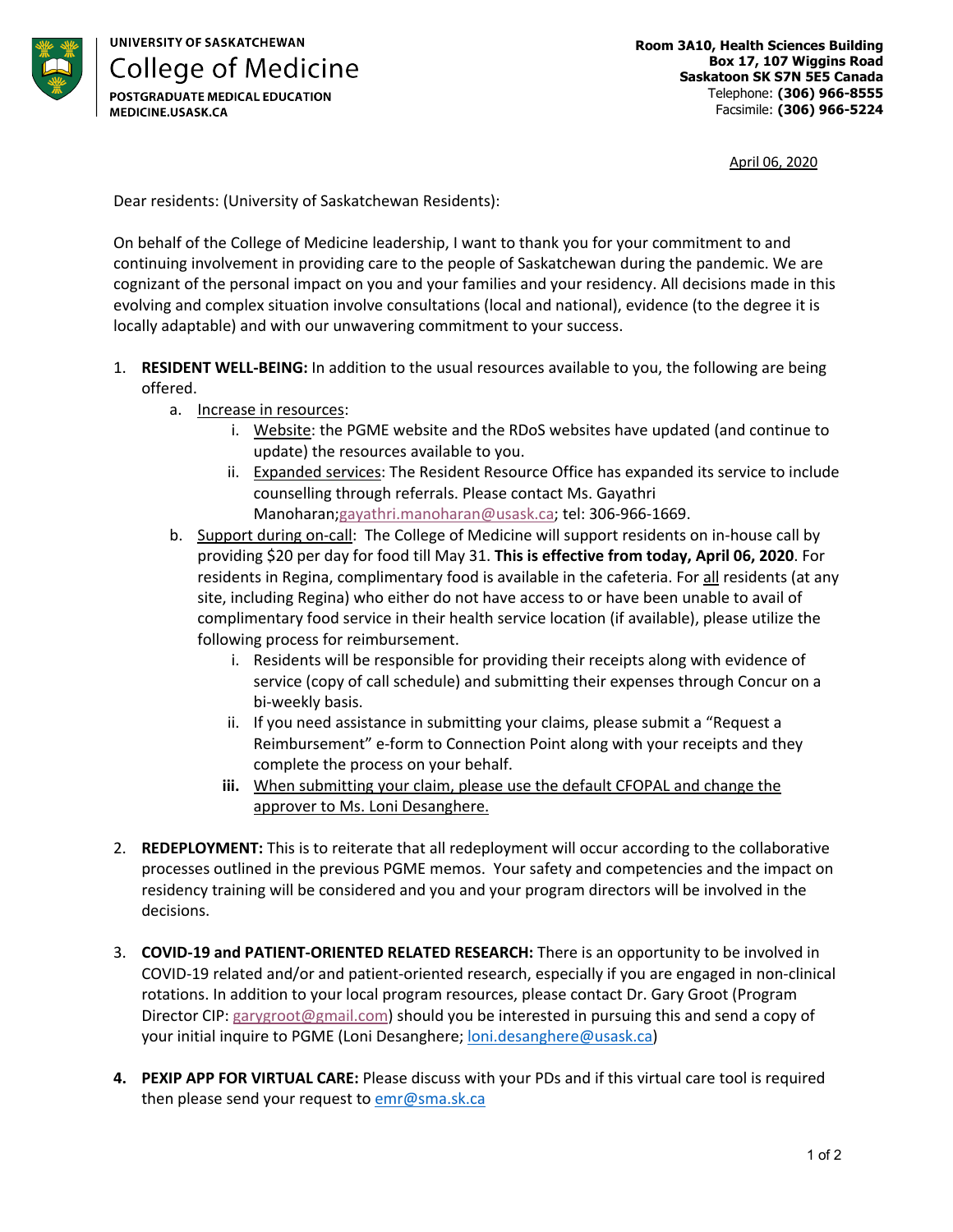

**UNIVERSITY OF SASKATCHEWAN College of Medicine POSTGRADUATE MEDICAL EDUCATION** MEDICINE.USASK.CA

April 06, 2020

Dear residents: (University of Saskatchewan Residents):

On behalf of the College of Medicine leadership, I want to thank you for your commitment to and continuing involvement in providing care to the people of Saskatchewan during the pandemic. We are cognizant of the personal impact on you and your families and your residency. All decisions made in this evolving and complex situation involve consultations (local and national), evidence (to the degree it is locally adaptable) and with our unwavering commitment to your success.

- 1. **RESIDENT WELL-BEING:** In addition to the usual resources available to you, the following are being offered.
	- a. Increase in resources:
		- i. Website: the PGME website and the RDoS websites have updated (and continue to update) the resources available to you.
		- ii. Expanded services: The Resident Resource Office has expanded its service to include counselling through referrals. Please contact Ms. Gayathri Manoharan;gayathri.manoharan@usask.ca; tel: 306-966-1669.
	- b. Support during on-call: The College of Medicine will support residents on in-house call by providing \$20 per day for food till May 31. **This is effective from today, April 06, 2020**. For residents in Regina, complimentary food is available in the cafeteria. For all residents (at any site, including Regina) who either do not have access to or have been unable to avail of complimentary food service in their health service location (if available), please utilize the following process for reimbursement.
		- i. Residents will be responsible for providing their receipts along with evidence of service (copy of call schedule) and submitting their expenses through Concur on a bi-weekly basis.
		- ii. If you need assistance in submitting your claims, please submit a "Request a Reimbursement" e-form to Connection Point along with your receipts and they complete the process on your behalf.
		- **iii.** When submitting your claim, please use the default CFOPAL and change the approver to Ms. Loni Desanghere.
- 2. **REDEPLOYMENT:** This is to reiterate that all redeployment will occur according to the collaborative processes outlined in the previous PGME memos. Your safety and competencies and the impact on residency training will be considered and you and your program directors will be involved in the decisions.
- 3. **COVID-19 and PATIENT-ORIENTED RELATED RESEARCH:** There is an opportunity to be involved in COVID-19 related and/or and patient-oriented research, especially if you are engaged in non-clinical rotations. In addition to your local program resources, please contact Dr. Gary Groot (Program Director CIP: garygroot@gmail.com) should you be interested in pursuing this and send a copy of your initial inquire to PGME (Loni Desanghere; loni.desanghere@usask.ca)
- **4. PEXIP APP FOR VIRTUAL CARE:** Please discuss with your PDs and if this virtual care tool is required then please send your request to emr@sma.sk.ca